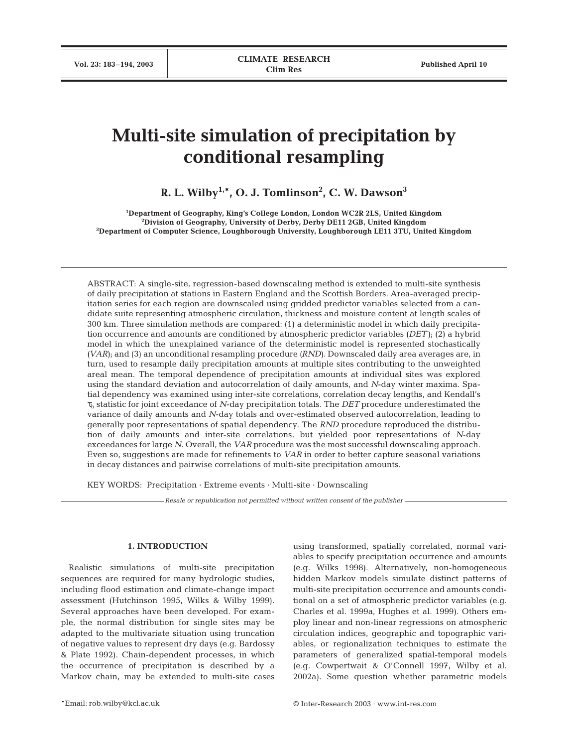# **Multi-site simulation of precipitation by conditional resampling**

**R. L. Wilby1,\*, O. J. Tomlinson2 , C. W. Dawson3**

**1 Department of Geography, King's College London, London WC2R 2LS, United Kingdom 2 Division of Geography, University of Derby, Derby DE11 2GB, United Kingdom 3 Department of Computer Science, Loughborough University, Loughborough LE11 3TU, United Kingdom**

ABSTRACT: A single-site, regression-based downscaling method is extended to multi-site synthesis of daily precipitation at stations in Eastern England and the Scottish Borders. Area-averaged precipitation series for each region are downscaled using gridded predictor variables selected from a candidate suite representing atmospheric circulation, thickness and moisture content at length scales of 300 km. Three simulation methods are compared: (1) a deterministic model in which daily precipitation occurrence and amounts are conditioned by atmospheric predictor variables *(DET)*; (2) a hybrid model in which the unexplained variance of the deterministic model is represented stochastically *(VAR)*; and (3) an unconditional resampling procedure *(RND)*. Downscaled daily area averages are, in turn, used to resample daily precipitation amounts at multiple sites contributing to the unweighted areal mean. The temporal dependence of precipitation amounts at individual sites was explored using the standard deviation and autocorrelation of daily amounts, and *N*-day winter maxima. Spatial dependency was examined using inter-site correlations, correlation decay lengths, and Kendall's τ<sup>b</sup> statistic for joint exceedance of *N*-day precipitation totals. The *DET* procedure underestimated the variance of daily amounts and *N*-day totals and over-estimated observed autocorrelation, leading to generally poor representations of spatial dependency. The *RND* procedure reproduced the distribution of daily amounts and inter-site correlations, but yielded poor representations of *N*-day exceedances for large *N*. Overall, the *VAR* procedure was the most successful downscaling approach. Even so, suggestions are made for refinements to *VAR* in order to better capture seasonal variations in decay distances and pairwise correlations of multi-site precipitation amounts.

KEY WORDS: Precipitation · Extreme events · Multi-site · Downscaling

*Resale or republication not permitted without written consent of the publisher*

# **1. INTRODUCTION**

Realistic simulations of multi-site precipitation sequences are required for many hydrologic studies, including flood estimation and climate-change impact assessment (Hutchinson 1995, Wilks & Wilby 1999). Several approaches have been developed. For example, the normal distribution for single sites may be adapted to the multivariate situation using truncation of negative values to represent dry days (e.g. Bardossy & Plate 1992). Chain-dependent processes, in which the occurrence of precipitation is described by a Markov chain, may be extended to multi-site cases

using transformed, spatially correlated, normal variables to specify precipitation occurrence and amounts (e.g. Wilks 1998). Alternatively, non-homogeneous hidden Markov models simulate distinct patterns of multi-site precipitation occurrence and amounts conditional on a set of atmospheric predictor variables (e.g. Charles et al. 1999a, Hughes et al. 1999). Others employ linear and non-linear regressions on atmospheric circulation indices, geographic and topographic variables, or regionalization techniques to estimate the parameters of generalized spatial-temporal models (e.g. Cowpertwait & O'Connell 1997, Wilby et al. 2002a). Some question whether parametric models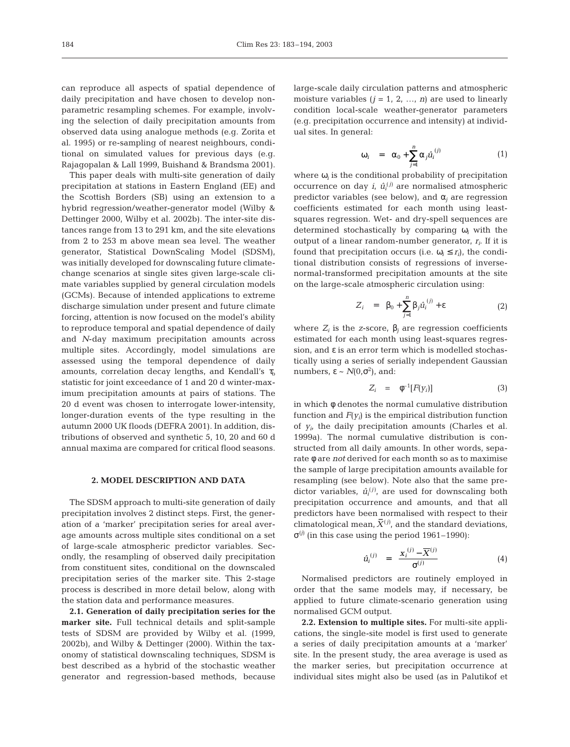can reproduce all aspects of spatial dependence of daily precipitation and have chosen to develop nonparametric resampling schemes. For example, involving the selection of daily precipitation amounts from observed data using analogue methods (e.g. Zorita et al. 1995) or re-sampling of nearest neighbours, conditional on simulated values for previous days (e.g. Rajagopalan & Lall 1999, Buishand & Brandsma 2001).

This paper deals with multi-site generation of daily precipitation at stations in Eastern England (EE) and the Scottish Borders (SB) using an extension to a hybrid regression/weather-generator model (Wilby & Dettinger 2000, Wilby et al. 2002b). The inter-site distances range from 13 to 291 km, and the site elevations from 2 to 253 m above mean sea level. The weather generator, Statistical DownScaling Model (SDSM), was initially developed for downscaling future climatechange scenarios at single sites given large-scale climate variables supplied by general circulation models (GCMs). Because of intended applications to extreme discharge simulation under present and future climate forcing, attention is now focused on the model's ability to reproduce temporal and spatial dependence of daily and *N*-day maximum precipitation amounts across multiple sites. Accordingly, model simulations are assessed using the temporal dependence of daily amounts, correlation decay lengths, and Kendall's  $\tau_{\rm b}$ statistic for joint exceedance of 1 and 20 d winter-maximum precipitation amounts at pairs of stations. The 20 d event was chosen to interrogate lower-intensity, longer-duration events of the type resulting in the autumn 2000 UK floods (DEFRA 2001). In addition, distributions of observed and synthetic 5, 10, 20 and 60 d annual maxima are compared for critical flood seasons.

## **2. MODEL DESCRIPTION AND DATA**

The SDSM approach to multi-site generation of daily precipitation involves 2 distinct steps. First, the generation of a 'marker' precipitation series for areal average amounts across multiple sites conditional on a set of large-scale atmospheric predictor variables. Secondly, the resampling of observed daily precipitation from constituent sites, conditional on the downscaled precipitation series of the marker site. This 2-stage process is described in more detail below, along with the station data and performance measures.

**2.1. Generation of daily precipitation series for the marker site.** Full technical details and split-sample tests of SDSM are provided by Wilby et al. (1999, 2002b), and Wilby & Dettinger (2000). Within the taxonomy of statistical downscaling techniques, SDSM is best described as a hybrid of the stochastic weather generator and regression-based methods, because large-scale daily circulation patterns and atmospheric moisture variables  $(j = 1, 2, ..., n)$  are used to linearly condition local-scale weather-generator parameters (e.g. precipitation occurrence and intensity) at individual sites. In general:

$$
\omega_i = \alpha_0 + \sum_{j=1}^n \alpha_j \hat{u}_i^{(j)} \tag{1}
$$

where  $\omega_i$  is the conditional probability of precipitation occurrence on day  $i$ ,  $\hat{u}^{(j)}$  are normalised atmospheric predictor variables (see below), and  $\alpha_i$  are regression coefficients estimated for each month using leastsquares regression. Wet- and dry-spell sequences are determined stochastically by comparing ω*<sup>i</sup>* with the output of a linear random-number generator, *ri*. If it is found that precipitation occurs (i.e.  $\omega_i \leq r_i$ ), the conditional distribution consists of regressions of inversenormal-transformed precipitation amounts at the site on the large-scale atmospheric circulation using:

$$
Z_i = \beta_0 + \sum_{j=1}^n \beta_j \hat{u}_i^{(j)} + \varepsilon
$$
 (2)

where  $Z_i$  is the *z*-score,  $\beta_i$  are regression coefficients estimated for each month using least-squares regression, and ε is an error term which is modelled stochastically using a series of serially independent Gaussian numbers,  $\varepsilon \sim N(0,\sigma^2)$ , and:

$$
Z_i = \phi^{-1}[F(y_i)] \tag{3}
$$

in which φ denotes the normal cumulative distribution function and  $F(y_i)$  is the empirical distribution function of *yi*, the daily precipitation amounts (Charles et al. 1999a). The normal cumulative distribution is constructed from all daily amounts. In other words, separate φ are *not* derived for each month so as to maximise the sample of large precipitation amounts available for resampling (see below). Note also that the same predictor variables,  $\hat{u}_i^{(j)}$ , are used for downscaling both precipitation occurrence and amounts, and that all predictors have been normalised with respect to their climatological mean,  $\bar{X}^{(j)}$ , and the standard deviations,  $σ<sup>(j)</sup>$  (in this case using the period 1961–1990):

$$
\hat{u}_i^{(j)} = \frac{\mathbf{x}_i^{(j)} - \overline{X}^{(j)}}{\sigma^{(j)}}
$$
(4)

Normalised predictors are routinely employed in order that the same models may, if necessary, be applied to future climate-scenario generation using normalised GCM output.

**2.2. Extension to multiple sites.** For multi-site applications, the single-site model is first used to generate a series of daily precipitation amounts at a 'marker' site. In the present study, the area average is used as the marker series, but precipitation occurrence at individual sites might also be used (as in Palutikof et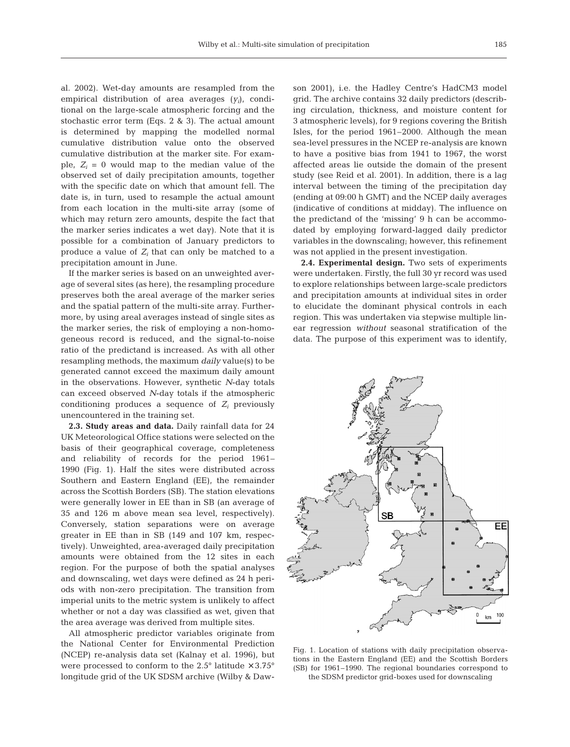al. 2002). Wet-day amounts are resampled from the empirical distribution of area averages (*yi*), conditional on the large-scale atmospheric forcing and the stochastic error term (Eqs. 2 & 3). The actual amount is determined by mapping the modelled normal cumulative distribution value onto the observed cumulative distribution at the marker site. For example,  $Z_i = 0$  would map to the median value of the observed set of daily precipitation amounts, together with the specific date on which that amount fell. The date is, in turn, used to resample the actual amount from each location in the multi-site array (some of which may return zero amounts, despite the fact that the marker series indicates a wet day). Note that it is possible for a combination of January predictors to produce a value of  $Z_i$  that can only be matched to a precipitation amount in June.

If the marker series is based on an unweighted average of several sites (as here), the resampling procedure preserves both the areal average of the marker series and the spatial pattern of the multi-site array. Furthermore, by using areal averages instead of single sites as the marker series, the risk of employing a non-homogeneous record is reduced, and the signal-to-noise ratio of the predictand is increased. As with all other resampling methods, the maximum *daily* value(s) to be generated cannot exceed the maximum daily amount in the observations. However, synthetic *N*-day totals can exceed observed *N*-day totals if the atmospheric conditioning produces a sequence of  $Z_i$  previously unencountered in the training set.

**2.3. Study areas and data.** Daily rainfall data for 24 UK Meteorological Office stations were selected on the basis of their geographical coverage, completeness and reliability of records for the period 1961– 1990 (Fig. 1). Half the sites were distributed across Southern and Eastern England (EE), the remainder across the Scottish Borders (SB). The station elevations were generally lower in EE than in SB (an average of 35 and 126 m above mean sea level, respectively). Conversely, station separations were on average greater in EE than in SB (149 and 107 km, respectively). Unweighted, area-averaged daily precipitation amounts were obtained from the 12 sites in each region. For the purpose of both the spatial analyses and downscaling, wet days were defined as 24 h periods with non-zero precipitation. The transition from imperial units to the metric system is unlikely to affect whether or not a day was classified as wet, given that the area average was derived from multiple sites.

All atmospheric predictor variables originate from the National Center for Environmental Prediction (NCEP) re-analysis data set (Kalnay et al. 1996), but were processed to conform to the  $2.5^{\circ}$  latitude  $\times$   $3.75^{\circ}$ longitude grid of the UK SDSM archive (Wilby & Daw-

son 2001), i.e. the Hadley Centre's HadCM3 model grid. The archive contains 32 daily predictors (describing circulation, thickness, and moisture content for 3 atmospheric levels), for 9 regions covering the British Isles, for the period 1961–2000. Although the mean sea-level pressures in the NCEP re-analysis are known to have a positive bias from 1941 to 1967, the worst affected areas lie outside the domain of the present study (see Reid et al. 2001). In addition, there is a lag interval between the timing of the precipitation day (ending at 09:00 h GMT) and the NCEP daily averages (indicative of conditions at midday). The influence on the predictand of the 'missing' 9 h can be accommodated by employing forward-lagged daily predictor variables in the downscaling; however, this refinement was not applied in the present investigation.

**2.4. Experimental design.** Two sets of experiments were undertaken. Firstly, the full 30 yr record was used to explore relationships between large-scale predictors and precipitation amounts at individual sites in order to elucidate the dominant physical controls in each region. This was undertaken via stepwise multiple linear regression *without* seasonal stratification of the data. The purpose of this experiment was to identify,



Fig. 1. Location of stations with daily precipitation observations in the Eastern England (EE) and the Scottish Borders (SB) for 1961–1990. The regional boundaries correspond to the SDSM predictor grid-boxes used for downscaling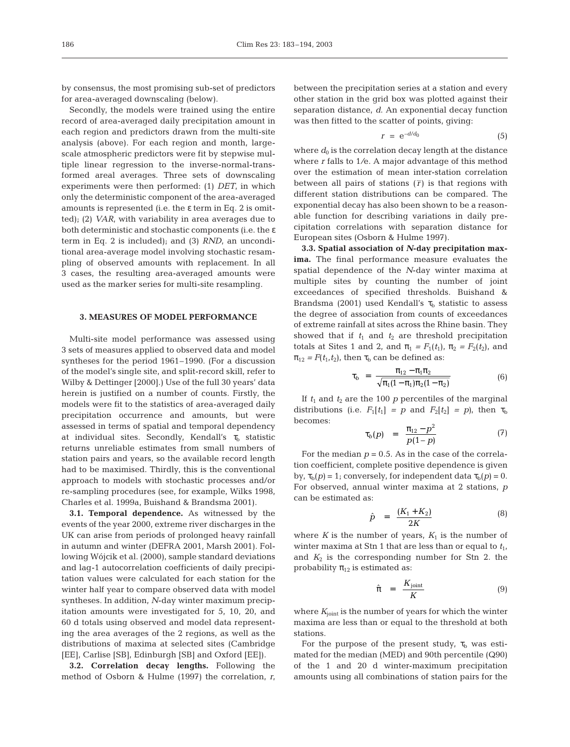by consensus, the most promising sub-set of predictors for area-averaged downscaling (below).

Secondly, the models were trained using the entire record of area-averaged daily precipitation amount in each region and predictors drawn from the multi-site analysis (above). For each region and month, largescale atmospheric predictors were fit by stepwise multiple linear regression to the inverse-normal-transformed areal averages. Three sets of downscaling experiments were then performed: (1) *DET*, in which only the deterministic component of the area-averaged amounts is represented (i.e. the  $\varepsilon$  term in Eq. 2 is omitted); (2) *VAR*, with variability in area averages due to both deterministic and stochastic components (i.e. the ε term in Eq. 2 is included); and (3) *RND*, an unconditional area-average model involving stochastic resampling of observed amounts with replacement. In all 3 cases, the resulting area-averaged amounts were used as the marker series for multi-site resampling.

# **3. MEASURES OF MODEL PERFORMANCE**

Multi-site model performance was assessed using 3 sets of measures applied to observed data and model syntheses for the period 1961–1990. (For a discussion of the model's single site, and split-record skill, refer to Wilby & Dettinger [2000].) Use of the full 30 years' data herein is justified on a number of counts. Firstly, the models were fit to the statistics of area-averaged daily precipitation occurrence and amounts, but were assessed in terms of spatial and temporal dependency at individual sites. Secondly, Kendall's  $\tau_{\rm b}$  statistic returns unreliable estimates from small numbers of station pairs and years, so the available record length had to be maximised. Thirdly, this is the conventional approach to models with stochastic processes and/or re-sampling procedures (see, for example, Wilks 1998, Charles et al. 1999a, Buishand & Brandsma 2001).

**3.1. Temporal dependence.** As witnessed by the events of the year 2000, extreme river discharges in the UK can arise from periods of prolonged heavy rainfall in autumn and winter (DEFRA 2001, Marsh 2001). Following Wójcik et al. (2000), sample standard deviations and lag-1 autocorrelation coefficients of daily precipitation values were calculated for each station for the winter half year to compare observed data with model syntheses. In addition, *N*-day winter maximum precipitation amounts were investigated for 5, 10, 20, and 60 d totals using observed and model data representing the area averages of the 2 regions, as well as the distributions of maxima at selected sites (Cambridge [EE], Carlise [SB], Edinburgh [SB] and Oxford [EE]).

**3.2. Correlation decay lengths.** Following the method of Osborn & Hulme (1997) the correlation, *r*, between the precipitation series at a station and every other station in the grid box was plotted against their separation distance, *d*. An exponential decay function was then fitted to the scatter of points, giving:

$$
r = e^{-d/d_0} \tag{5}
$$

where  $d_0$  is the correlation decay length at the distance where *r* falls to 1*/*e. A major advantage of this method over the estimation of mean inter-station correlation between all pairs of stations  $(\bar{r})$  is that regions with different station distributions can be compared. The exponential decay has also been shown to be a reasonable function for describing variations in daily precipitation correlations with separation distance for European sites (Osborn & Hulme 1997).

**3.3. Spatial association of** *N***-day precipitation maxima.** The final performance measure evaluates the spatial dependence of the *N*-day winter maxima at multiple sites by counting the number of joint exceedances of specified thresholds. Buishand & Brandsma (2001) used Kendall's  $\tau_b$  statistic to assess the degree of association from counts of exceedances of extreme rainfall at sites across the Rhine basin. They showed that if  $t_1$  and  $t_2$  are threshold precipitation totals at Sites 1 and 2, and  $\pi_1 = F_1(t_1)$ ,  $\pi_2 = F_2(t_2)$ , and  $\pi_{12}$  =  $F(t_1, t_2)$ , then  $\tau_b$  can be defined as:

$$
\tau_b = \frac{\pi_{12} - \pi_1 \pi_2}{\sqrt{\pi_1 (1 - \pi_1) \pi_2 (1 - \pi_2)}}
$$
(6)

If  $t_1$  and  $t_2$  are the 100  $p$  percentiles of the marginal distributions (i.e.  $F_1[t_1] = p$  and  $F_2[t_2] = p$ ), then  $\tau_b$ becomes:

$$
\tau_b(p) = \frac{\pi_{12} - p^2}{p(1-p)} \tag{7}
$$

For the median  $p = 0.5$ . As in the case of the correlation coefficient, complete positive dependence is given by,  $\tau_b(p) = 1$ ; conversely, for independent data  $\tau_b(p) = 0$ . For observed, annual winter maxima at 2 stations, *p* can be estimated as:

$$
\hat{p} = \frac{(K_1 + K_2)}{2K} \tag{8}
$$

where  $K$  is the number of years,  $K_1$  is the number of winter maxima at Stn 1 that are less than or equal to  $t_1$ , and  $K_2$  is the corresponding number for Stn 2. the probability  $\pi_{12}$  is estimated as:

$$
\hat{\pi} = \frac{K_{\text{joint}}}{K} \tag{9}
$$

where  $K_{\text{joint}}$  is the number of years for which the winter maxima are less than or equal to the threshold at both stations.

For the purpose of the present study,  $\tau_b$  was estimated for the median (MED) and 90th percentile (Q90) of the 1 and 20 d winter-maximum precipitation amounts using all combinations of station pairs for the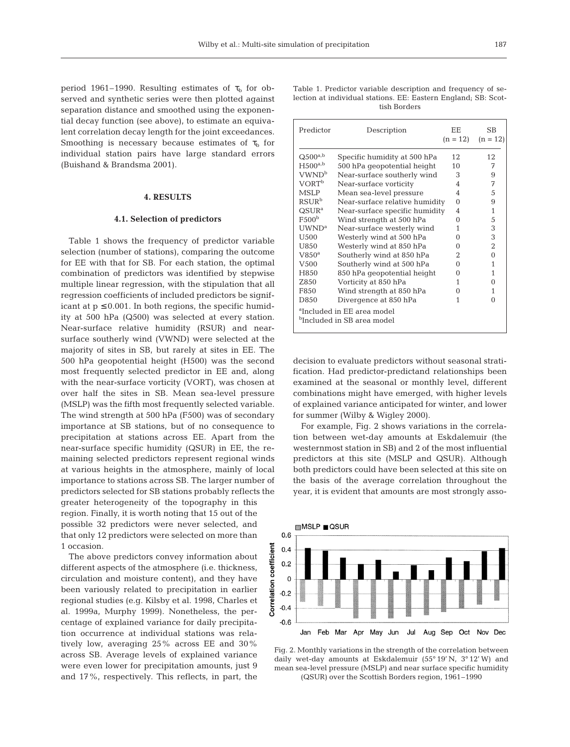period 1961–1990. Resulting estimates of  $\tau_{\rm b}$  for observed and synthetic series were then plotted against separation distance and smoothed using the exponential decay function (see above), to estimate an equivalent correlation decay length for the joint exceedances. Smoothing is necessary because estimates of  $\tau_{\rm b}$  for individual station pairs have large standard errors (Buishand & Brandsma 2001).

## **4. RESULTS**

## **4.1. Selection of predictors**

Table 1 shows the frequency of predictor variable selection (number of stations), comparing the outcome for EE with that for SB. For each station, the optimal combination of predictors was identified by stepwise multiple linear regression, with the stipulation that all regression coefficients of included predictors be significant at  $p \leq 0.001$ . In both regions, the specific humidity at 500 hPa (Q500) was selected at every station. Near-surface relative humidity (RSUR) and nearsurface southerly wind (VWND) were selected at the majority of sites in SB, but rarely at sites in EE. The 500 hPa geopotential height (H500) was the second most frequently selected predictor in EE and, along with the near-surface vorticity (VORT), was chosen at over half the sites in SB. Mean sea-level pressure (MSLP) was the fifth most frequently selected variable. The wind strength at 500 hPa (F500) was of secondary importance at SB stations, but of no consequence to precipitation at stations across EE. Apart from the near-surface specific humidity (QSUR) in EE, the remaining selected predictors represent regional winds at various heights in the atmosphere, mainly of local importance to stations across SB. The larger number of predictors selected for SB stations probably reflects the greater heterogeneity of the topography in this region. Finally, it is worth noting that 15 out of the possible 32 predictors were never selected, and that only 12 predictors were selected on more than 1 occasion.

The above predictors convey information about different aspects of the atmosphere (i.e. thickness, circulation and moisture content), and they have been variously related to precipitation in earlier regional studies (e.g. Kilsby et al. 1998, Charles et al. 1999a, Murphy 1999). Nonetheless, the percentage of explained variance for daily precipitation occurrence at individual stations was relatively low, averaging 25% across EE and 30% across SB. Average levels of explained variance were even lower for precipitation amounts, just 9 and 17%, respectively. This reflects, in part, the

Table 1. Predictor variable description and frequency of selection at individual stations. EE: Eastern England; SB: Scottish Borders

| Predictor                                                                        | Description                    | EE.<br>$(n = 12)$ | <b>SB</b><br>$(n = 12)$ |  |  |  |  |
|----------------------------------------------------------------------------------|--------------------------------|-------------------|-------------------------|--|--|--|--|
| $Q500^{a,b}$                                                                     | Specific humidity at 500 hPa   | 12                | 12                      |  |  |  |  |
| $H500^{a,b}$                                                                     | 500 hPa geopotential height    | 10                | 7                       |  |  |  |  |
| VWND <sup>b</sup>                                                                | Near-surface southerly wind    | 3                 | 9                       |  |  |  |  |
| <b>VORT<sup>b</sup></b>                                                          | Near-surface vorticity         | 4                 | 7                       |  |  |  |  |
| <b>MSLP</b>                                                                      | Mean sea-level pressure        | 4                 | 5                       |  |  |  |  |
| <b>RSUR<sup>b</sup></b>                                                          | Near-surface relative humidity | $\Omega$          | 9                       |  |  |  |  |
| $QSUR^a$                                                                         | Near-surface specific humidity | 4                 | 1                       |  |  |  |  |
| F500 <sup>b</sup>                                                                | Wind strength at 500 hPa       | 0                 | 5                       |  |  |  |  |
| $UWND^a$                                                                         | Near-surface westerly wind     | 1                 | 3                       |  |  |  |  |
| U500                                                                             | Westerly wind at 500 hPa       | 0                 | 3                       |  |  |  |  |
| U850                                                                             | Westerly wind at 850 hPa       | 0                 | $\overline{2}$          |  |  |  |  |
| $V850^a$                                                                         | Southerly wind at 850 hPa      | 2.                | $\overline{0}$          |  |  |  |  |
| V500                                                                             | Southerly wind at 500 hPa      | 0                 | 1                       |  |  |  |  |
| H850                                                                             | 850 hPa geopotential height    | 0                 | 1                       |  |  |  |  |
| Z850                                                                             | Vorticity at 850 hPa           | 1                 | $\theta$                |  |  |  |  |
| F850                                                                             | Wind strength at 850 hPa       | 0                 | 1                       |  |  |  |  |
| D850                                                                             | Divergence at 850 hPa          | 1                 | $\Omega$                |  |  |  |  |
| <sup>a</sup> Included in EE area model<br><sup>b</sup> Included in SB area model |                                |                   |                         |  |  |  |  |

decision to evaluate predictors without seasonal stratification. Had predictor-predictand relationships been examined at the seasonal or monthly level, different combinations might have emerged, with higher levels of explained variance anticipated for winter, and lower for summer (Wilby & Wigley 2000).

For example, Fig. 2 shows variations in the correlation between wet-day amounts at Eskdalemuir (the westernmost station in SB) and 2 of the most influential predictors at this site (MSLP and QSUR). Although both predictors could have been selected at this site on the basis of the average correlation throughout the year, it is evident that amounts are most strongly asso-



Fig. 2. Monthly variations in the strength of the correlation between daily wet-day amounts at Eskdalemuir (55° 19' N, 3° 12' W) and mean sea-level pressure (MSLP) and near surface specific humidity (QSUR) over the Scottish Borders region, 1961–1990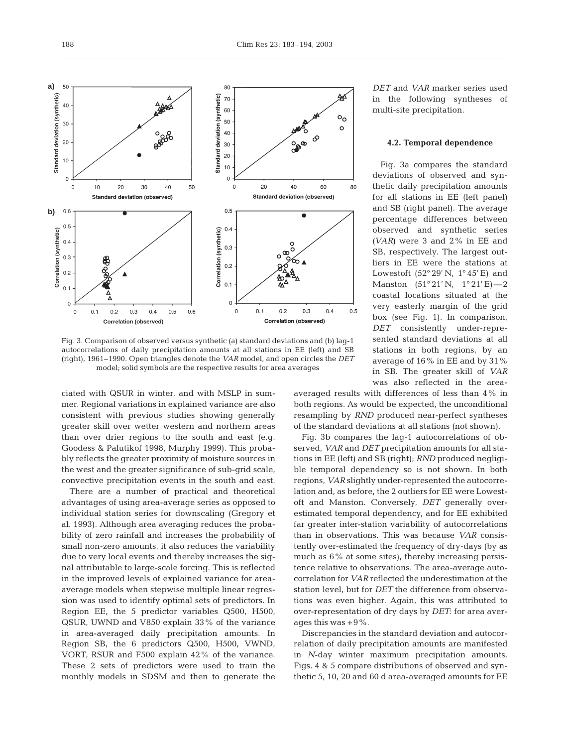

Fig. 3. Comparison of observed versus synthetic (a) standard deviations and (b) lag-1 autocorrelations of daily precipitation amounts at all stations in EE (left) and SB (right), 1961–1990. Open triangles denote the *VAR* model, and open circles the *DET* model; solid symbols are the respective results for area averages

ciated with QSUR in winter, and with MSLP in summer. Regional variations in explained variance are also consistent with previous studies showing generally greater skill over wetter western and northern areas than over drier regions to the south and east (e.g. Goodess & Palutikof 1998, Murphy 1999). This probably reflects the greater proximity of moisture sources in the west and the greater significance of sub-grid scale, convective precipitation events in the south and east.

There are a number of practical and theoretical advantages of using area-average series as opposed to individual station series for downscaling (Gregory et al. 1993). Although area averaging reduces the probability of zero rainfall and increases the probability of small non-zero amounts, it also reduces the variability due to very local events and thereby increases the signal attributable to large-scale forcing. This is reflected in the improved levels of explained variance for areaaverage models when stepwise multiple linear regression was used to identify optimal sets of predictors. In Region EE, the 5 predictor variables Q500, H500, QSUR, UWND and V850 explain 33% of the variance in area-averaged daily precipitation amounts. In Region SB, the 6 predictors Q500, H500, VWND, VORT, RSUR and F500 explain 42% of the variance. These 2 sets of predictors were used to train the monthly models in SDSM and then to generate the

*DET* and *VAR* marker series used in the following syntheses of multi-site precipitation.

## **4.2. Temporal dependence**

Fig. 3a compares the standard deviations of observed and synthetic daily precipitation amounts for all stations in EE (left panel) and SB (right panel). The average percentage differences between observed and synthetic series *(VAR)* were 3 and 2% in EE and SB, respectively. The largest outliers in EE were the stations at Lowestoft  $(52°29' N, 1°45' E)$  and Manston (51° 21' N, 1° 21' E)—2 coastal locations situated at the very easterly margin of the grid box (see Fig. 1). In comparison, *DET* consistently under-represented standard deviations at all stations in both regions, by an average of 16% in EE and by 31% in SB. The greater skill of *VAR* was also reflected in the area-

averaged results with differences of less than 4% in both regions. As would be expected, the unconditional resampling by *RND* produced near-perfect syntheses of the standard deviations at all stations (not shown).

Fig. 3b compares the lag-1 autocorrelations of observed, *VAR* and *DET* precipitation amounts for all stations in EE (left) and SB (right); *RND* produced negligible temporal dependency so is not shown. In both regions, *VAR* slightly under-represented the autocorrelation and, as before, the 2 outliers for EE were Lowestoft and Manston. Conversely, *DET* generally overestimated temporal dependency, and for EE exhibited far greater inter-station variability of autocorrelations than in observations. This was because *VAR* consistently over-estimated the frequency of dry-days (by as much as 6% at some sites), thereby increasing persistence relative to observations. The area-average autocorrelation for *VAR* reflected the underestimation at the station level, but for *DET* the difference from observations was even higher. Again, this was attributed to over-representation of dry days by *DET*: for area averages this was  $+9\%$ .

Discrepancies in the standard deviation and autocorrelation of daily precipitation amounts are manifested in *N*-day winter maximum precipitation amounts. Figs. 4 & 5 compare distributions of observed and synthetic 5, 10, 20 and 60 d area-averaged amounts for EE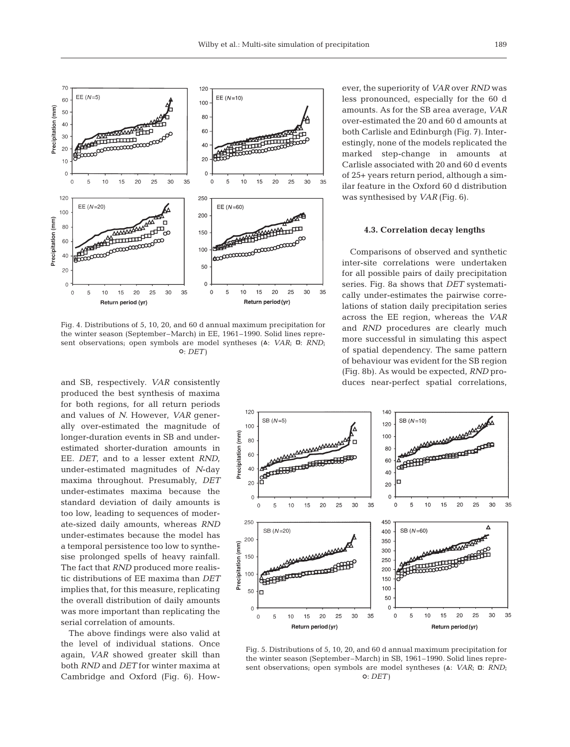

Fig. 4. Distributions of 5, 10, 20, and 60 d annual maximum precipitation for the winter season (September–March) in EE, 1961–1990. Solid lines represent observations; open symbols are model syntheses ( $\Delta$ : *VAR*;  $\Box$ : *RND*; S: *DET)*

and SB, respectively. *VAR* consistently produced the best synthesis of maxima for both regions, for all return periods and values of *N*. However, *VAR* generally over-estimated the magnitude of longer-duration events in SB and underestimated shorter-duration amounts in EE. *DET*, and to a lesser extent *RND*, under-estimated magnitudes of *N*-day maxima throughout. Presumably, *DET* under-estimates maxima because the standard deviation of daily amounts is too low, leading to sequences of moderate-sized daily amounts, whereas *RND* under-estimates because the model has a temporal persistence too low to synthesise prolonged spells of heavy rainfall. The fact that *RND* produced more realistic distributions of EE maxima than *DET* implies that, for this measure, replicating the overall distribution of daily amounts was more important than replicating the serial correlation of amounts.

The above findings were also valid at the level of individual stations. Once again, *VAR* showed greater skill than both *RND* and *DET* for winter maxima at Cambridge and Oxford (Fig. 6). However, the superiority of *VAR* over *RND* was less pronounced, especially for the 60 d amounts. As for the SB area average, *VAR* over-estimated the 20 and 60 d amounts at both Carlisle and Edinburgh (Fig. 7). Interestingly, none of the models replicated the marked step-change in amounts at Carlisle associated with 20 and 60 d events of 25+ years return period, although a similar feature in the Oxford 60 d distribution was synthesised by *VAR* (Fig. 6).

#### **4.3. Correlation decay lengths**

Comparisons of observed and synthetic inter-site correlations were undertaken for all possible pairs of daily precipitation series. Fig. 8a shows that *DET* systematically under-estimates the pairwise correlations of station daily precipitation series across the EE region, whereas the *VAR* and *RND* procedures are clearly much more successful in simulating this aspect of spatial dependency. The same pattern of behaviour was evident for the SB region (Fig. 8b). As would be expected, *RND* produces near-perfect spatial correlations,



Fig. 5. Distributions of 5, 10, 20, and 60 d annual maximum precipitation for the winter season (September–March) in SB, 1961–1990. Solid lines represent observations; open symbols are model syntheses ( $\Delta$ : *VAR*;  $\Box$ : *RND*; S: *DET)*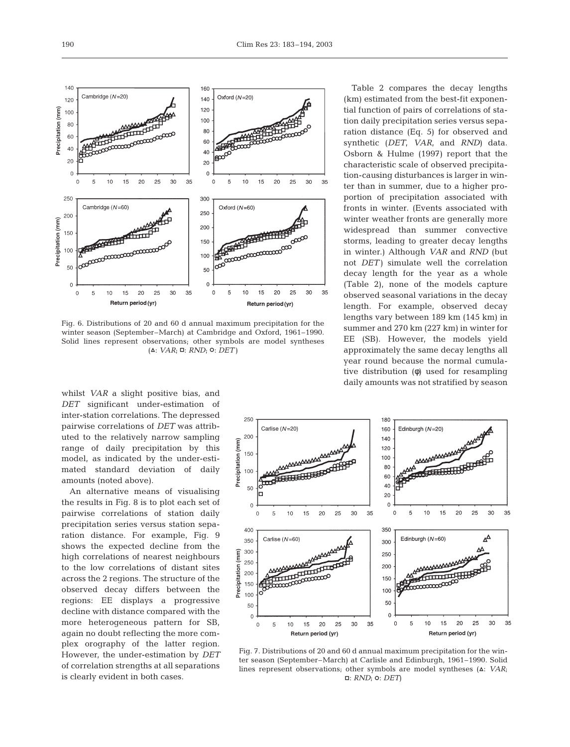

Fig. 6. Distributions of 20 and 60 d annual maximum precipitation for the winter season (September–March) at Cambridge and Oxford, 1961–1990. Solid lines represent observations; other symbols are model syntheses  $(A: VAR; ∎: RND; ∘: DET)$ 

whilst *VAR* a slight positive bias, and *DET* significant under-estimation of inter-station correlations. The depressed pairwise correlations of *DET* was attributed to the relatively narrow sampling range of daily precipitation by this model, as indicated by the under-estimated standard deviation of daily amounts (noted above).

An alternative means of visualising the results in Fig. 8 is to plot each set of pairwise correlations of station daily precipitation series versus station separation distance. For example, Fig. 9 shows the expected decline from the high correlations of nearest neighbours to the low correlations of distant sites across the 2 regions. The structure of the observed decay differs between the regions: EE displays a progressive decline with distance compared with the more heterogeneous pattern for SB, again no doubt reflecting the more complex orography of the latter region. However, the under-estimation by *DET* of correlation strengths at all separations is clearly evident in both cases.

Table 2 compares the decay lengths (km) estimated from the best-fit exponential function of pairs of correlations of station daily precipitation series versus separation distance (Eq. 5) for observed and synthetic (*DET*, *VAR*, and *RND)* data. Osborn & Hulme (1997) report that the characteristic scale of observed precipitation-causing disturbances is larger in winter than in summer, due to a higher proportion of precipitation associated with fronts in winter. (Events associated with winter weather fronts are generally more widespread than summer convective storms, leading to greater decay lengths in winter.) Although *VAR* and *RND* (but not *DET)* simulate well the correlation decay length for the year as a whole (Table 2), none of the models capture observed seasonal variations in the decay length. For example, observed decay lengths vary between 189 km (145 km) in summer and 270 km (227 km) in winter for EE (SB). However, the models yield approximately the same decay lengths all year round because the normal cumulative distribution (φ) used for resampling daily amounts was not stratified by season



Fig. 7. Distributions of 20 and 60 d annual maximum precipitation for the winter season (September–March) at Carlisle and Edinburgh, 1961–1990. Solid lines represent observations; other symbols are model syntheses ( $\Delta$ : *VAR*; ם: *RND*; o: *DET*)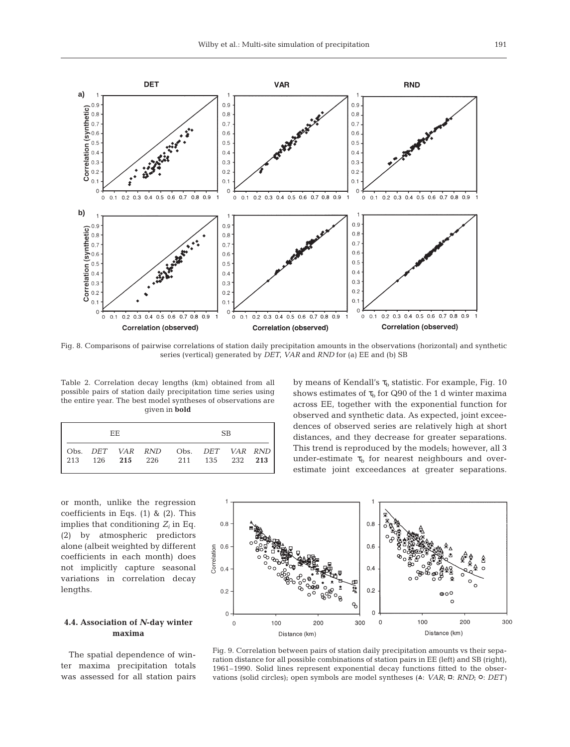

Fig. 8. Comparisons of pairwise correlations of station daily precipitation amounts in the observations (horizontal) and synthetic series (vertical) generated by *DET*, *VAR* and *RND* for (a) EE and (b) SB

Table 2. Correlation decay lengths (km) obtained from all possible pairs of station daily precipitation time series using the entire year. The best model syntheses of observations are given in **bold**

| FF. |  |  |  | SB.                                                                                    |  |  |  |  |  |
|-----|--|--|--|----------------------------------------------------------------------------------------|--|--|--|--|--|
|     |  |  |  | Obs. DET VAR RND Obs. DET VAR RND  <br>  213 126 <b>215</b> 226 211 135 232 <b>213</b> |  |  |  |  |  |

by means of Kendall's  $\tau_{\rm b}$  statistic. For example, Fig. 10 shows estimates of  $\tau_b$  for Q90 of the 1 d winter maxima across EE, together with the exponential function for observed and synthetic data. As expected, joint exceedences of observed series are relatively high at short distances, and they decrease for greater separations. This trend is reproduced by the models; however, all 3 under-estimate  $\tau_b$  for nearest neighbours and overestimate joint exceedances at greater separations.

or month, unlike the regression coefficients in Eqs. (1) & (2). This implies that conditioning *Zi* in Eq. (2) by atmospheric predictors alone (albeit weighted by different coefficients in each month) does not implicitly capture seasonal variations in correlation decay lengths.

# **4.4. Association of** *N***-day winter maxima**

The spatial dependence of winter maxima precipitation totals was assessed for all station pairs



Fig. 9. Correlation between pairs of station daily precipitation amounts vs their separation distance for all possible combinations of station pairs in EE (left) and SB (right), 1961–1990. Solid lines represent exponential decay functions fitted to the observations (solid circles); open symbols are model syntheses ( $\Delta$ : *VAR*;  $\Box$ : *RND*;  $\odot$ : *DET*)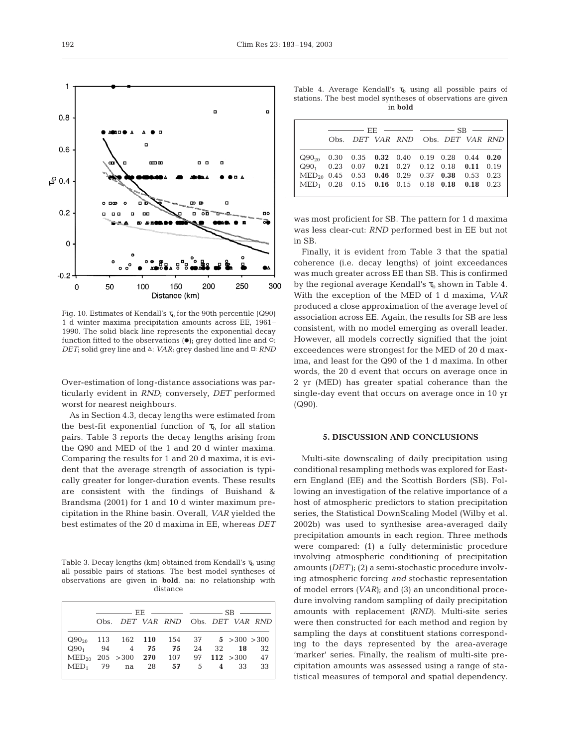

Fig. 10. Estimates of Kendall's  $\tau_b$  for the 90th percentile (Q90) 1 d winter maxima precipitation amounts across EE, 1961– 1990. The solid black line represents the exponential decay function fitted to the observations  $(\bullet)$ ; grey dotted line and  $\circ$ : *DET*; solid grey line and △: *VAR*; grey dashed line and □: *RND* 

Over-estimation of long-distance associations was particularly evident in *RND*; conversely, *DET* performed worst for nearest neighbours.

As in Section 4.3, decay lengths were estimated from the best-fit exponential function of  $\tau_b$  for all station pairs. Table 3 reports the decay lengths arising from the Q90 and MED of the 1 and 20 d winter maxima. Comparing the results for 1 and 20 d maxima, it is evident that the average strength of association is typically greater for longer-duration events. These results are consistent with the findings of Buishand & Brandsma (2001) for 1 and 10 d winter maximum precipitation in the Rhine basin. Overall, *VAR* yielded the best estimates of the 20 d maxima in EE, whereas *DET*

Table 3. Decay lengths (km) obtained from Kendall's  $\tau_{\rm b}$  using all possible pairs of stations. The best model syntheses of observations are given in **bold**. na: no relationship with distance

|                                                                                      | Obs. DET VAR RND Obs. DET VAR RND |  |  |  |  |  |  |  |
|--------------------------------------------------------------------------------------|-----------------------------------|--|--|--|--|--|--|--|
| $Q90_{20}$ 113 162 110 154 37 5 > 300 > 300<br>$Q90_1$ 94 4 75 75 24 32 18 32        |                                   |  |  |  |  |  |  |  |
| $\text{MED}_{20}$ 205 > 300 270 107 97 112 > 300 47<br>$MED_1$ 79 na 28 57 5 4 33 33 |                                   |  |  |  |  |  |  |  |

Table 4. Average Kendall's  $\tau_b$  using all possible pairs of stations. The best model syntheses of observations are given in **bold**

|                                                           | $\frac{1}{1}$ FIE $\frac{1}{1}$ $\frac{1}{1}$ $\frac{1}{1}$ $\frac{1}{1}$ $\frac{1}{1}$ $\frac{1}{1}$ $\frac{1}{1}$ $\frac{1}{1}$ $\frac{1}{1}$ $\frac{1}{1}$ $\frac{1}{1}$ $\frac{1}{1}$ $\frac{1}{1}$ $\frac{1}{1}$ $\frac{1}{1}$ $\frac{1}{1}$ $\frac{1}{1}$ $\frac{1}{1}$ $\frac{1}{1}$ $\frac{1}{1}$ $\frac{1}{1$ |                                   |  |  |  |  |  |  |
|-----------------------------------------------------------|------------------------------------------------------------------------------------------------------------------------------------------------------------------------------------------------------------------------------------------------------------------------------------------------------------------------|-----------------------------------|--|--|--|--|--|--|
|                                                           |                                                                                                                                                                                                                                                                                                                        | Obs. DET VAR RND Obs. DET VAR RND |  |  |  |  |  |  |
| $Q90_{20}$ 0.30 0.35 0.32 0.40 0.19 0.28 0.44 0.20        |                                                                                                                                                                                                                                                                                                                        |                                   |  |  |  |  |  |  |
| $Q90_1$ 0.23 0.07 0.21 0.27 0.12 0.18 0.11 0.19           |                                                                                                                                                                                                                                                                                                                        |                                   |  |  |  |  |  |  |
| $\text{MED}_{20}$ 0.45 0.53 0.46 0.29 0.37 0.38 0.53 0.23 |                                                                                                                                                                                                                                                                                                                        |                                   |  |  |  |  |  |  |
| $MED_1$ 0.28 0.15 0.16 0.15 0.18 0.18 0.18 0.23           |                                                                                                                                                                                                                                                                                                                        |                                   |  |  |  |  |  |  |

was most proficient for SB. The pattern for 1 d maxima was less clear-cut: *RND* performed best in EE but not in SB.

Finally, it is evident from Table 3 that the spatial coherence (i.e. decay lengths) of joint exceedances was much greater across EE than SB. This is confirmed by the regional average Kendall's  $\tau_{\rm h}$  shown in Table 4. With the exception of the MED of 1 d maxima, *VAR* produced a close approximation of the average level of association across EE. Again, the results for SB are less consistent, with no model emerging as overall leader. However, all models correctly signified that the joint exceedences were strongest for the MED of 20 d maxima, and least for the Q90 of the 1 d maxima. In other words, the 20 d event that occurs on average once in 2 yr (MED) has greater spatial coherance than the single-day event that occurs on average once in 10 yr (Q90).

# **5. DISCUSSION AND CONCLUSIONS**

Multi-site downscaling of daily precipitation using conditional resampling methods was explored for Eastern England (EE) and the Scottish Borders (SB). Following an investigation of the relative importance of a host of atmospheric predictors to station precipitation series, the Statistical DownScaling Model (Wilby et al. 2002b) was used to synthesise area-averaged daily precipitation amounts in each region. Three methods were compared: (1) a fully deterministic procedure involving atmospheric conditioning of precipitation amounts *(DET)*; (2) a semi-stochastic procedure involving atmospheric forcing *and* stochastic representation of model errors *(VAR)*; and (3) an unconditional procedure involving random sampling of daily precipitation amounts with replacement *(RND)*. Multi-site series were then constructed for each method and region by sampling the days at constituent stations corresponding to the days represented by the area-average 'marker' series. Finally, the realism of multi-site precipitation amounts was assessed using a range of statistical measures of temporal and spatial dependency.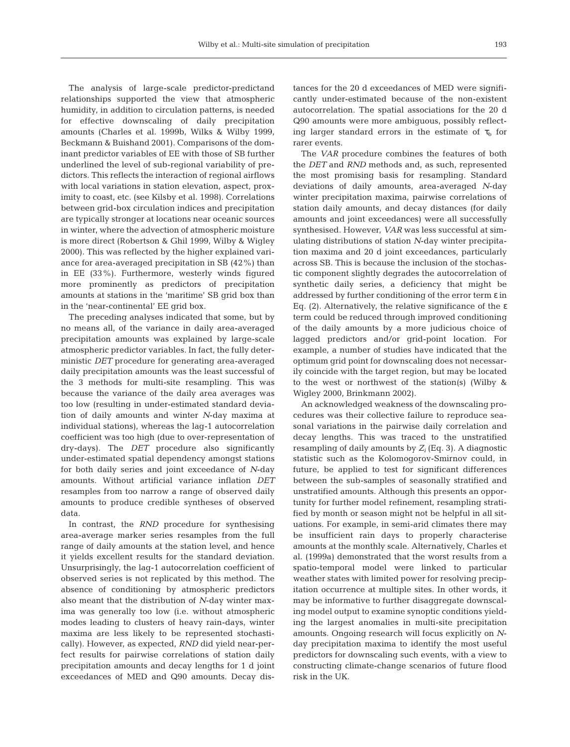The analysis of large-scale predictor-predictand relationships supported the view that atmospheric humidity, in addition to circulation patterns, is needed for effective downscaling of daily precipitation amounts (Charles et al. 1999b, Wilks & Wilby 1999, Beckmann & Buishand 2001). Comparisons of the dominant predictor variables of EE with those of SB further underlined the level of sub-regional variability of predictors. This reflects the interaction of regional airflows with local variations in station elevation, aspect, proximity to coast, etc. (see Kilsby et al. 1998). Correlations between grid-box circulation indices and precipitation are typically stronger at locations near oceanic sources in winter, where the advection of atmospheric moisture is more direct (Robertson & Ghil 1999, Wilby & Wigley 2000). This was reflected by the higher explained variance for area-averaged precipitation in SB (42%) than in EE (33%). Furthermore, westerly winds figured more prominently as predictors of precipitation amounts at stations in the 'maritime' SB grid box than in the 'near-continental' EE grid box.

The preceding analyses indicated that some, but by no means all, of the variance in daily area-averaged precipitation amounts was explained by large-scale atmospheric predictor variables. In fact, the fully deterministic *DET* procedure for generating area-averaged daily precipitation amounts was the least successful of the 3 methods for multi-site resampling. This was because the variance of the daily area averages was too low (resulting in under-estimated standard deviation of daily amounts and winter *N*-day maxima at individual stations), whereas the lag-1 autocorrelation coefficient was too high (due to over-representation of dry-days). The *DET* procedure also significantly under-estimated spatial dependency amongst stations for both daily series and joint exceedance of *N*-day amounts. Without artificial variance inflation *DET* resamples from too narrow a range of observed daily amounts to produce credible syntheses of observed data.

In contrast, the *RND* procedure for synthesising area-average marker series resamples from the full range of daily amounts at the station level, and hence it yields excellent results for the standard deviation. Unsurprisingly, the lag-1 autocorrelation coefficient of observed series is not replicated by this method. The absence of conditioning by atmospheric predictors also meant that the distribution of *N*-day winter maxima was generally too low (i.e. without atmospheric modes leading to clusters of heavy rain-days, winter maxima are less likely to be represented stochastically). However, as expected, *RND* did yield near-perfect results for pairwise correlations of station daily precipitation amounts and decay lengths for 1 d joint exceedances of MED and Q90 amounts. Decay dis-

tances for the 20 d exceedances of MED were significantly under-estimated because of the non-existent autocorrelation. The spatial associations for the 20 d Q90 amounts were more ambiguous, possibly reflecting larger standard errors in the estimate of  $\tau_{\rm b}$  for rarer events.

The *VAR* procedure combines the features of both the *DET* and *RND* methods and, as such, represented the most promising basis for resampling. Standard deviations of daily amounts, area-averaged *N*-day winter precipitation maxima, pairwise correlations of station daily amounts, and decay distances (for daily amounts and joint exceedances) were all successfully synthesised. However, *VAR* was less successful at simulating distributions of station *N*-day winter precipitation maxima and 20 d joint exceedances, particularly across SB. This is because the inclusion of the stochastic component slightly degrades the autocorrelation of synthetic daily series, a deficiency that might be addressed by further conditioning of the error term ε in Eq. (2). Alternatively, the relative significance of the ε term could be reduced through improved conditioning of the daily amounts by a more judicious choice of lagged predictors and/or grid-point location. For example, a number of studies have indicated that the optimum grid point for downscaling does not necessarily coincide with the target region, but may be located to the west or northwest of the station(s) (Wilby & Wigley 2000, Brinkmann 2002).

An acknowledged weakness of the downscaling procedures was their collective failure to reproduce seasonal variations in the pairwise daily correlation and decay lengths. This was traced to the unstratified resampling of daily amounts by  $Z_i$  (Eq. 3). A diagnostic statistic such as the Kolomogorov-Smirnov could, in future, be applied to test for significant differences between the sub-samples of seasonally stratified and unstratified amounts. Although this presents an opportunity for further model refinement, resampling stratified by month or season might not be helpful in all situations. For example, in semi-arid climates there may be insufficient rain days to properly characterise amounts at the monthly scale. Alternatively, Charles et al. (1999a) demonstrated that the worst results from a spatio-temporal model were linked to particular weather states with limited power for resolving precipitation occurrence at multiple sites. In other words, it may be informative to further disaggregate downscaling model output to examine synoptic conditions yielding the largest anomalies in multi-site precipitation amounts. Ongoing research will focus explicitly on *N*day precipitation maxima to identify the most useful predictors for downscaling such events, with a view to constructing climate-change scenarios of future flood risk in the UK.